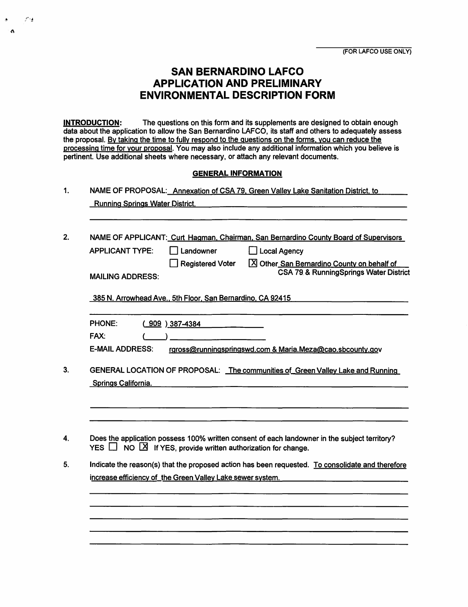# **SAN BERNARDINO LAFCO APPLICATION AND PRELIMINARY ENVIRONMENTAL DESCRIPTION FORM**

**INTRODUCTION:** The questions on this form and its supplements are designed to obtain enough data about the application to allow the San Bernardino LAFCO, its staff and others to adequately assess the proposal. By taking the time to fully respond to the questions on the forms, you can reduce the processing time for your proposal. You may also include any additional information which you believe is pertinent. Use additional sheets where necessary, or attach any relevant documents.

#### **GENERAL INFORMATION**

1. NAME OF PROPOSAL: Annexation of CSA 79. Green Valley Lake Sanitation District, to

|  | <b>Running Springs Water District.</b> |
|--|----------------------------------------|
|  |                                        |

 $\mathcal{F}^{\mathcal{A}}$ 

 $\mathbf{a}$ 

2. NAME OF APPLICANT: Curt Hagman, Chairman, San Bernardino County Board of Supervisors

| <b>APPLICANT TYPE:</b>  | I Landowner      | Local Agency                               |
|-------------------------|------------------|--------------------------------------------|
|                         | Registered Voter | X Other San Bernardino County on behalf of |
| <b>MAILING ADDRESS:</b> |                  | CSA 79 & RunningSprings Water District     |
|                         |                  |                                            |

385 N. Arrowhead Ave., 5th Floor, San Bernardino, CA 92415

| <b>PHONE:</b> | $(909)$ 387-4384                                                                |
|---------------|---------------------------------------------------------------------------------|
| <b>FAX:</b>   |                                                                                 |
| _ _ _ _ _ _ _ | the contract of the contract of the contract of the contract of the contract of |

- E-MAIL ADDRESS: rgross@runningspringswd.com & Maria.Meza@cao.sbcounty.gov
- 3. GENERAL LOCATION OF PROPOSAL: The communities of Green Valley Lake and Running Springs California.
- 4. Does the application possess 100% written consent of each landowner in the subject territory? YES  $\Box$  NO  $\Box$  If YES, provide written authorization for change.
- 5. Indicate the reason(s) that the proposed action has been requested. To consolidate and therefore increase efficiency of the Green Valley Lake sewer system.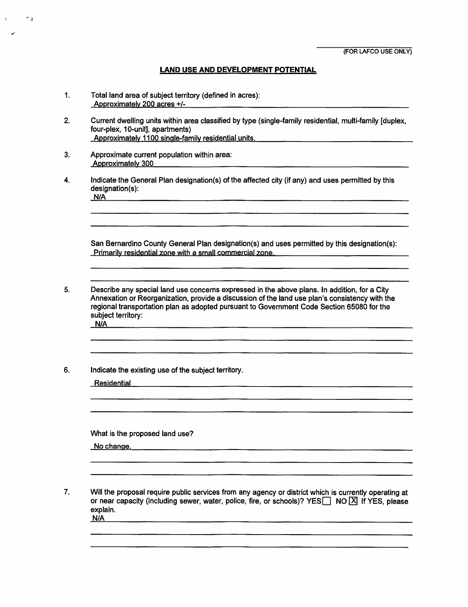### **LAND USE AND DEVELOPMENT POTENTIAL**

- 1. Total land area of subject territory (defined in acres): Approximately 200 acres +/-
- 2. Current dwelling units within area classified by type (single-family residential, multi-family [duplex, four-plex, 10-unit], apartments) Approximately 1100 single-family residential units.
- 3. Approximate current population within area: Approximately 300

 $\mathcal{L}(\Delta)$ 

4. Indicate the General Plan designation(s) of the affected city (if any) and uses permitted by this designation(s): **NIA** 

San Bernardino County General Plan designation(s) and uses permitted by this designation(s): Primarily residential zone with a small commercial zone

5. Describe any special land use concerns expressed in the above plans. In addition, for a City Annexation or Reorganization, provide a discussion of the land use plan's consistency with the regional transportation plan as adopted pursuant to Government Code Section 65080 for the subject territory: **N/A** 

6. Indicate the existing use of the subject territory.

Residential

What is the proposed land use?

No change.

7. Will the proposal require public services from any agency or district which is currently operating at or near capacity (including sewer, water, police, fire, or schools)? YES  $\Box$  NO  $\Box$  If YES, please explain. **N/A**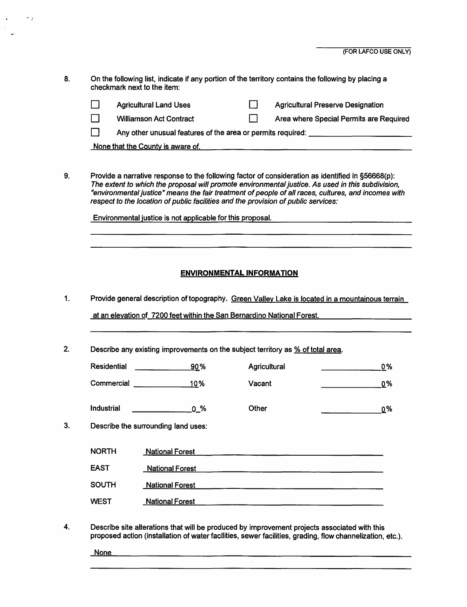8. On the following list, indicate if any portion of the territory contains the following by placing a checkmark next to the item:

|                                   | <b>Agricultural Land Uses</b>                               |  | <b>Agricultural Preserve Designation</b> |
|-----------------------------------|-------------------------------------------------------------|--|------------------------------------------|
|                                   | <b>Williamson Act Contract</b>                              |  | Area where Special Permits are Required  |
|                                   | Any other unusual features of the area or permits required: |  |                                          |
| None that the County is aware of. |                                                             |  |                                          |

9. Provide a narrative response to the following factor of consideration as identified in §56668(p): The extent to which the proposal will promote environmental justice. As used in this subdivision, "environmental justice" means the fair treatment of people of all races, cultures, and incomes with respect to the location of public facilities and the provision of public services:

Environmental justice is not applicable for this proposal.

### **ENVIRONMENTAL INFORMATION**

1. Provide general description of topography. Green Valley Lake is located in a mountainous terrain

at an elevation of 7200 feet within the San Bernardino National Forest.

2. Describe any existing improvements on the subject territory as % of total area.

| Residential       | 90% | Agricultural | 0% |
|-------------------|-----|--------------|----|
| Commercial        | 10% | Vacant       | 0% |
| <b>Industrial</b> | 0 % | Other        | 0% |

3. Describe the surrounding land uses:

| NORTH | <b>National Forest</b> |
|-------|------------------------|
| EAST  | <b>National Forest</b> |
| SOUTH | <b>National Forest</b> |
| WEST  | <b>National Forest</b> |

4. Describe site alterations that will be produced by improvement projects associated with this proposed action (installation of water facilities, sewer facilities, grading, flow channelization, etc.).

**None None None None None None None None None None None None None None None None None None None None None None None None None None None None None None None None** 

۰.,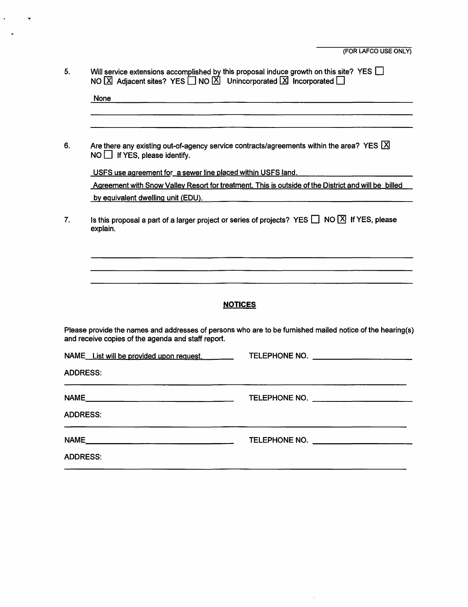| 5.<br>Will service extensions accomplished by this proposal induce growth on this site? YES $\Box$<br>NO $\boxed{\times}$ Adjacent sites? YES $\boxed{\phantom{0}}$ NO $\boxed{\times}$ Unincorporated $\boxed{\times}$ Incorporated $\boxed{\phantom{0}}$ |                                                                                                                    |                                                                                                                      |
|------------------------------------------------------------------------------------------------------------------------------------------------------------------------------------------------------------------------------------------------------------|--------------------------------------------------------------------------------------------------------------------|----------------------------------------------------------------------------------------------------------------------|
|                                                                                                                                                                                                                                                            | None                                                                                                               | <u> 1980 - Jan James James James James James James James James James James James James James James James James J</u> |
|                                                                                                                                                                                                                                                            |                                                                                                                    |                                                                                                                      |
| 6.                                                                                                                                                                                                                                                         | $NO$ If YES, please identify.                                                                                      | Are there any existing out-of-agency service contracts/agreements within the area? YES $[\times]$                    |
|                                                                                                                                                                                                                                                            |                                                                                                                    | USFS use agreement for a sewer line placed within USFS land.                                                         |
|                                                                                                                                                                                                                                                            |                                                                                                                    | Agreement with Snow Valley Resort for treatment. This is outside of the District and will be billed                  |
|                                                                                                                                                                                                                                                            |                                                                                                                    |                                                                                                                      |
| 7.                                                                                                                                                                                                                                                         | Is this proposal a part of a larger project or series of projects? YES $\Box$ NO $\Box$ If YES, please<br>explain. |                                                                                                                      |
|                                                                                                                                                                                                                                                            |                                                                                                                    |                                                                                                                      |
|                                                                                                                                                                                                                                                            |                                                                                                                    |                                                                                                                      |
|                                                                                                                                                                                                                                                            |                                                                                                                    |                                                                                                                      |
|                                                                                                                                                                                                                                                            |                                                                                                                    | <b>NOTICES</b>                                                                                                       |
|                                                                                                                                                                                                                                                            | and receive copies of the agenda and staff report.                                                                 | Please provide the names and addresses of persons who are to be furnished mailed notice of the hearing(s)            |
|                                                                                                                                                                                                                                                            |                                                                                                                    | NAME List will be provided upon request. TELEPHONE NO.                                                               |
| <b>ADDRESS:</b>                                                                                                                                                                                                                                            |                                                                                                                    |                                                                                                                      |
|                                                                                                                                                                                                                                                            |                                                                                                                    | TELEPHONE NO.                                                                                                        |
| <b>ADDRESS:</b>                                                                                                                                                                                                                                            |                                                                                                                    |                                                                                                                      |
|                                                                                                                                                                                                                                                            |                                                                                                                    | TELEPHONE NO. THE CONTROL TELEPHONE NO.                                                                              |
| <b>ADDRESS:</b>                                                                                                                                                                                                                                            |                                                                                                                    |                                                                                                                      |

 $\sim$ 

 $\epsilon$  .

 $\ddot{\phantom{1}}$ 

 $\tilde{\mathbf{z}}$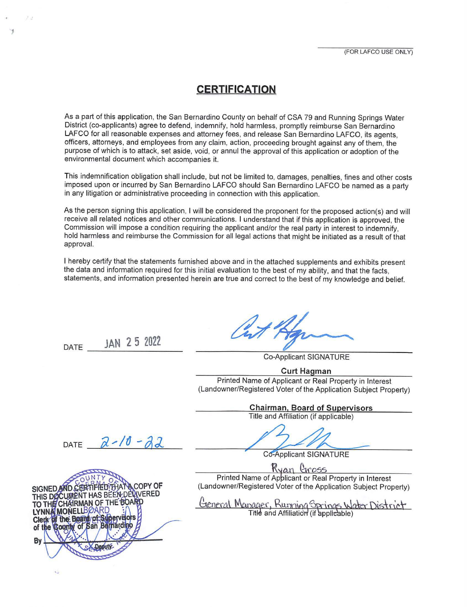# **~ERTIFICATION**

As a part of this application, the San Bernardino County on behalf of CSA 79 and Running Springs Water District (co-applicants) agree to defend, indemnify, hold harmless, promptly reimburse San Bernardino LAFCO for all reasonable expenses and attorney fees, and release San Bernardino LAFCO, its agents, officers, attorneys, and employees from any claim, action, proceeding brought against any of them, the purpose of which is to attack, set aside, void, or annul the approval of this application or adoption of the environmental document which accompanies it.

This indemnification obligation shall include, but not be limited to, damages, penalties, fines and other costs imposed upon or incurred by San Bernardino LAFCO should San Bernardino LAFCO be named as a party in any litigation or administrative proceeding in connection with this application.

As the person signing this application, I will be considered the proponent for the proposed action(s) and will receive all related notices and other communications. I understand that if this application is approved, the Commission will impose a condition requiring the applicant and/or the real party in interest to indemnify, hold harmless and reimburse the Commission for all legal actions that might be initiated as a result of that approval.

I hereby certify that the statements furnished above and in the attached supplements and exhibits present the data and information required for this initial evaluation to the best of my ability, and that the facts, statements, and information presented herein are true and correct to the best of my knowledge and belief.

DATE **\_\_ JA\_N\_2 \_5\_20\_22 \_\_** 

'

Co-Applicant SIGNATURE

**Curt Hagman** 

Printed Name of Applicant or Real Property in Interest (Landowner/Registered Voter of the Application Subject Property)

**Chairman, Board of Supervisors** 

Title and Affiliation (if applicable)

DATE  $2-10-22$ 

SIGNED AND CERTIFIED THAT A COPY OF THIS DOCUMENT HAS BEEN DEVIVERED **TO THE CHAIRMAN OF THE BOARD LY C By a** *separations* 

Co-Applicant SIGNATURE  $\frac{1}{2}$ 

Printed Name of Applicant or Real Property in Interest (Landowner/Registered Voter of the Application Subject Property)

General Manager, Running Springs Water District